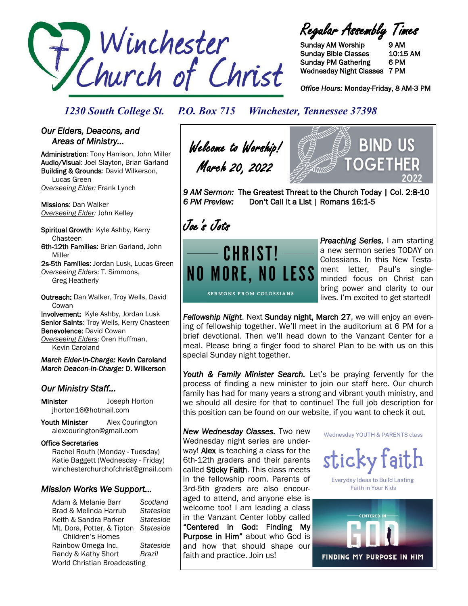

Regular Assembly Times

Sunday AM Worship 9 AM Sunday Bible Classes 10:15 AM Sunday PM Gathering 6 PM Wednesday Night Classes 7 PM

*Office Hours:* Monday-Friday, 8 AM-3 PM

### *1230 South College St. P.O. Box 715 Winchester, Tennessee 37398*

### *Our Elders, Deacons, and Areas of Ministry…*

Administration: Tony Harrison, John Miller Audio/Visual: Joel Slayton, Brian Garland Building & Grounds: David Wilkerson, Lucas Green *Overseeing Elder:* Frank Lynch

Missions: Dan Walker *Overseeing Elder:* John Kelley

Spiritual Growth*:* Kyle Ashby, Kerry Chasteen 6th-12th Families: Brian Garland, John Miller

2s-5th Families: Jordan Lusk, Lucas Green *Overseeing Elders:* T. Simmons, Greg Heatherly

Outreach: Dan Walker, Troy Wells, David **Cowan** Involvement: Kyle Ashby, Jordan Lusk Senior Saints: Troy Wells, Kerry Chasteen

Benevolence: David Cowan

*Overseeing Elders:* Oren Huffman, Kevin Caroland

*March Elder-In-Charge:* Kevin Caroland *March Deacon-In-Charge:* D. Wilkerson

### *Our Ministry Staff…*

Minister Joseph Horton jhorton16@hotmail.com

Youth Minister Alex Courington alexcourington@gmail.com

#### Office Secretaries

 Rachel Routh (Monday - Tuesday) Katie Baggett (Wednesday - Friday) winchesterchurchofchrist@gmail.com

### *Mission Works We Support…*

Adam & Melanie Barr *Scotland* Brad & Melinda Harrub *Stateside* Keith & Sandra Parker *Stateside* Mt. Dora, Potter, & Tipton *Stateside* Children's Homes Rainbow Omega Inc. *Stateside* Randy & Kathy Short *Brazil* World Christian Broadcasting

Welcome to Worship! March 20, 2022



*9 AM Sermon:* The Greatest Threat to the Church Today | Col. 2:8-10 *6 PM Preview:* Don't Call It a List | Romans 16:1-5

Joe's Jots



*Preaching Series.* I am starting a new sermon series TODAY on Colossians. In this New Testament letter, Paul's singleminded focus on Christ can bring power and clarity to our lives. I'm excited to get started!

*Fellowship Night*. Next Sunday night, March 27, we will enjoy an evening of fellowship together. We'll meet in the auditorium at 6 PM for a brief devotional. Then we'll head down to the Vanzant Center for a meal. Please bring a finger food to share! Plan to be with us on this special Sunday night together.

Youth & Family Minister Search. Let's be praying fervently for the process of finding a new minister to join our staff here. Our church family has had for many years a strong and vibrant youth ministry, and we should all desire for that to continue! The full job description for this position can be found on our website, if you want to check it out.

*New Wednesday Classes.* Two new Wednesday night series are underway! Alex is teaching a class for the 6th-12th graders and their parents called Sticky Faith. This class meets in the fellowship room. Parents of 3rd-5th graders are also encouraged to attend, and anyone else is welcome too! I am leading a class in the Vanzant Center lobby called "Centered in God: Finding My Purpose in Him" about who God is and how that should shape our faith and practice. Join us!

Wednesday YOUTH & PARENTS class



**Everyday Ideas to Build Lasting** Faith in Your Kids